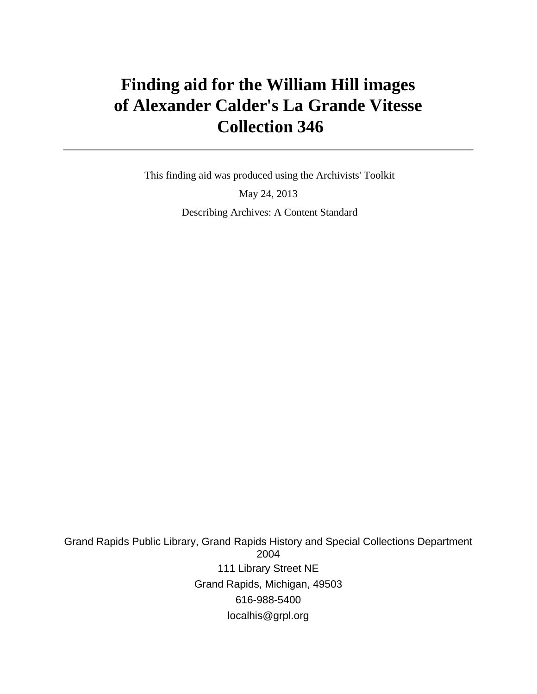# **Finding aid for the William Hill images of Alexander Calder's La Grande Vitesse Collection 346**

 This finding aid was produced using the Archivists' Toolkit May 24, 2013 Describing Archives: A Content Standard

Grand Rapids Public Library, Grand Rapids History and Special Collections Department 2004 111 Library Street NE Grand Rapids, Michigan, 49503 616-988-5400 localhis@grpl.org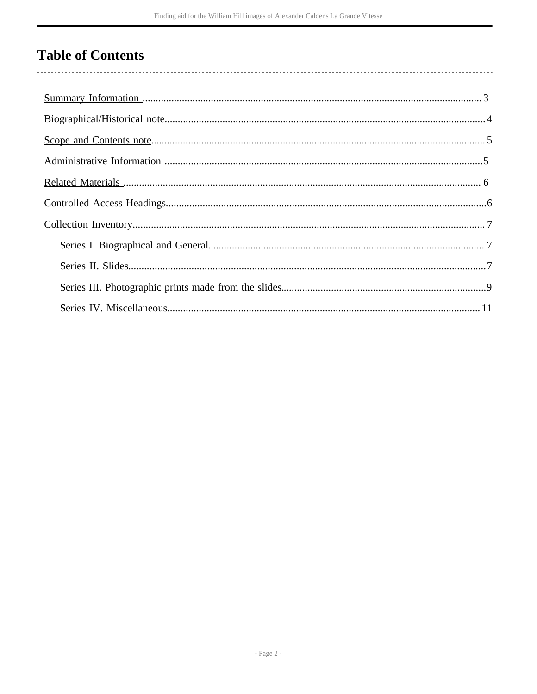# **Table of Contents**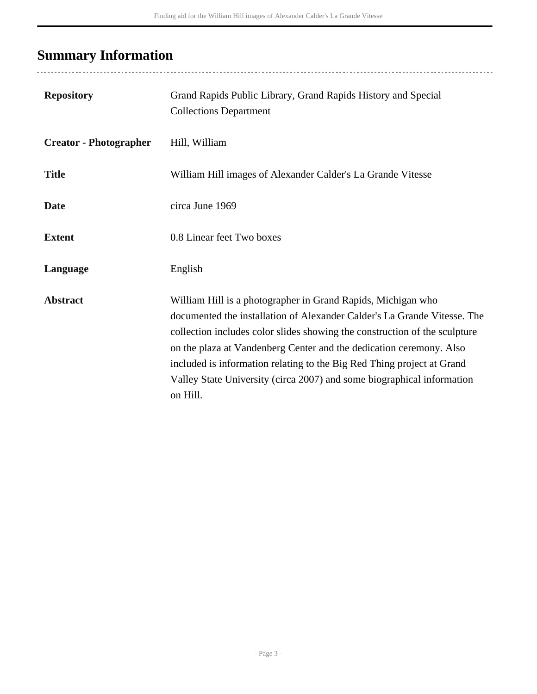# <span id="page-2-0"></span>**Summary Information**

| <b>Repository</b>             | Grand Rapids Public Library, Grand Rapids History and Special<br><b>Collections Department</b>                                                                                                                                                                                                                                                                                                                                                                |
|-------------------------------|---------------------------------------------------------------------------------------------------------------------------------------------------------------------------------------------------------------------------------------------------------------------------------------------------------------------------------------------------------------------------------------------------------------------------------------------------------------|
| <b>Creator - Photographer</b> | Hill, William                                                                                                                                                                                                                                                                                                                                                                                                                                                 |
| <b>Title</b>                  | William Hill images of Alexander Calder's La Grande Vitesse                                                                                                                                                                                                                                                                                                                                                                                                   |
| <b>Date</b>                   | circa June 1969                                                                                                                                                                                                                                                                                                                                                                                                                                               |
| <b>Extent</b>                 | 0.8 Linear feet Two boxes                                                                                                                                                                                                                                                                                                                                                                                                                                     |
| Language                      | English                                                                                                                                                                                                                                                                                                                                                                                                                                                       |
| <b>Abstract</b>               | William Hill is a photographer in Grand Rapids, Michigan who<br>documented the installation of Alexander Calder's La Grande Vitesse. The<br>collection includes color slides showing the construction of the sculpture<br>on the plaza at Vandenberg Center and the dedication ceremony. Also<br>included is information relating to the Big Red Thing project at Grand<br>Valley State University (circa 2007) and some biographical information<br>on Hill. |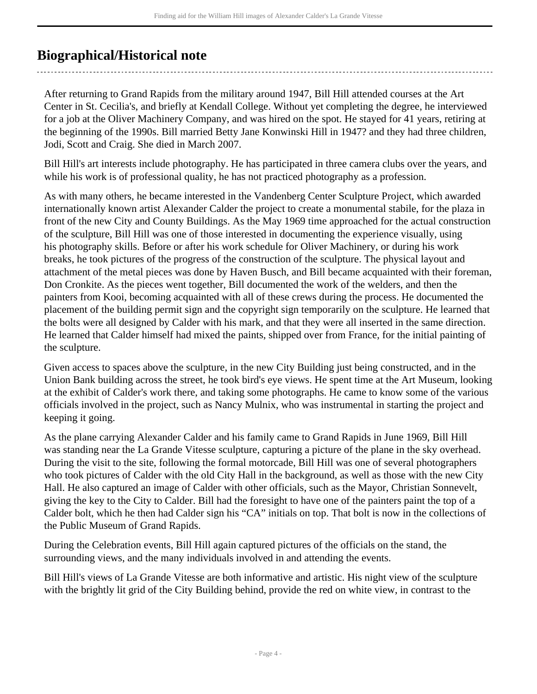## <span id="page-3-0"></span>**Biographical/Historical note**

After returning to Grand Rapids from the military around 1947, Bill Hill attended courses at the Art Center in St. Cecilia's, and briefly at Kendall College. Without yet completing the degree, he interviewed for a job at the Oliver Machinery Company, and was hired on the spot. He stayed for 41 years, retiring at the beginning of the 1990s. Bill married Betty Jane Konwinski Hill in 1947? and they had three children, Jodi, Scott and Craig. She died in March 2007.

Bill Hill's art interests include photography. He has participated in three camera clubs over the years, and while his work is of professional quality, he has not practiced photography as a profession.

As with many others, he became interested in the Vandenberg Center Sculpture Project, which awarded internationally known artist Alexander Calder the project to create a monumental stabile, for the plaza in front of the new City and County Buildings. As the May 1969 time approached for the actual construction of the sculpture, Bill Hill was one of those interested in documenting the experience visually, using his photography skills. Before or after his work schedule for Oliver Machinery, or during his work breaks, he took pictures of the progress of the construction of the sculpture. The physical layout and attachment of the metal pieces was done by Haven Busch, and Bill became acquainted with their foreman, Don Cronkite. As the pieces went together, Bill documented the work of the welders, and then the painters from Kooi, becoming acquainted with all of these crews during the process. He documented the placement of the building permit sign and the copyright sign temporarily on the sculpture. He learned that the bolts were all designed by Calder with his mark, and that they were all inserted in the same direction. He learned that Calder himself had mixed the paints, shipped over from France, for the initial painting of the sculpture.

Given access to spaces above the sculpture, in the new City Building just being constructed, and in the Union Bank building across the street, he took bird's eye views. He spent time at the Art Museum, looking at the exhibit of Calder's work there, and taking some photographs. He came to know some of the various officials involved in the project, such as Nancy Mulnix, who was instrumental in starting the project and keeping it going.

As the plane carrying Alexander Calder and his family came to Grand Rapids in June 1969, Bill Hill was standing near the La Grande Vitesse sculpture, capturing a picture of the plane in the sky overhead. During the visit to the site, following the formal motorcade, Bill Hill was one of several photographers who took pictures of Calder with the old City Hall in the background, as well as those with the new City Hall. He also captured an image of Calder with other officials, such as the Mayor, Christian Sonnevelt, giving the key to the City to Calder. Bill had the foresight to have one of the painters paint the top of a Calder bolt, which he then had Calder sign his "CA" initials on top. That bolt is now in the collections of the Public Museum of Grand Rapids.

During the Celebration events, Bill Hill again captured pictures of the officials on the stand, the surrounding views, and the many individuals involved in and attending the events.

Bill Hill's views of La Grande Vitesse are both informative and artistic. His night view of the sculpture with the brightly lit grid of the City Building behind, provide the red on white view, in contrast to the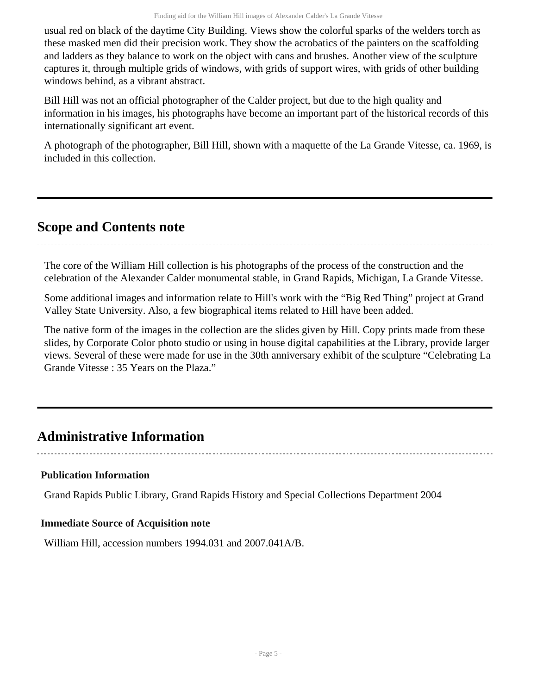usual red on black of the daytime City Building. Views show the colorful sparks of the welders torch as these masked men did their precision work. They show the acrobatics of the painters on the scaffolding and ladders as they balance to work on the object with cans and brushes. Another view of the sculpture captures it, through multiple grids of windows, with grids of support wires, with grids of other building windows behind, as a vibrant abstract.

Bill Hill was not an official photographer of the Calder project, but due to the high quality and information in his images, his photographs have become an important part of the historical records of this internationally significant art event.

A photograph of the photographer, Bill Hill, shown with a maquette of the La Grande Vitesse, ca. 1969, is included in this collection.

## <span id="page-4-0"></span>**Scope and Contents note**

The core of the William Hill collection is his photographs of the process of the construction and the celebration of the Alexander Calder monumental stable, in Grand Rapids, Michigan, La Grande Vitesse.

Some additional images and information relate to Hill's work with the "Big Red Thing" project at Grand Valley State University. Also, a few biographical items related to Hill have been added.

The native form of the images in the collection are the slides given by Hill. Copy prints made from these slides, by Corporate Color photo studio or using in house digital capabilities at the Library, provide larger views. Several of these were made for use in the 30th anniversary exhibit of the sculpture "Celebrating La Grande Vitesse : 35 Years on the Plaza."

### <span id="page-4-1"></span>**Administrative Information**

### **Publication Information**

Grand Rapids Public Library, Grand Rapids History and Special Collections Department 2004

### **Immediate Source of Acquisition note**

William Hill, accession numbers 1994.031 and 2007.041A/B.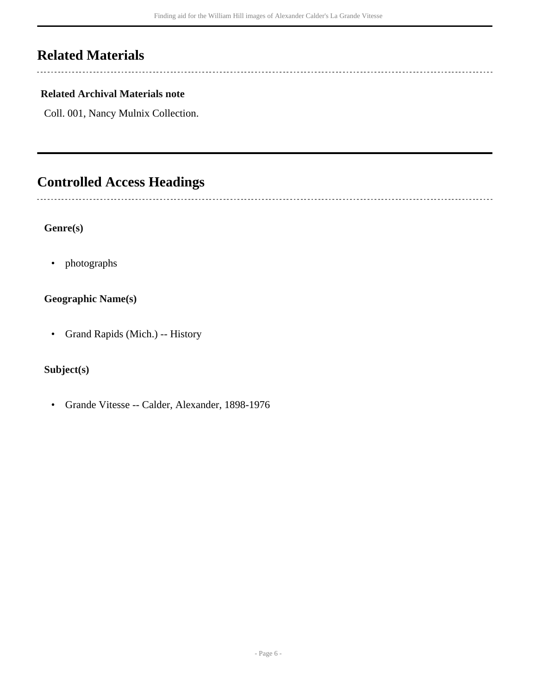## <span id="page-5-0"></span>**Related Materials**

 $\overline{a}$ 

L.

### **Related Archival Materials note**

Coll. 001, Nancy Mulnix Collection.

## <span id="page-5-1"></span>**Controlled Access Headings**

#### **Genre(s)**

• photographs

#### **Geographic Name(s)**

• Grand Rapids (Mich.) -- History

#### **Subject(s)**

• Grande Vitesse -- Calder, Alexander, 1898-1976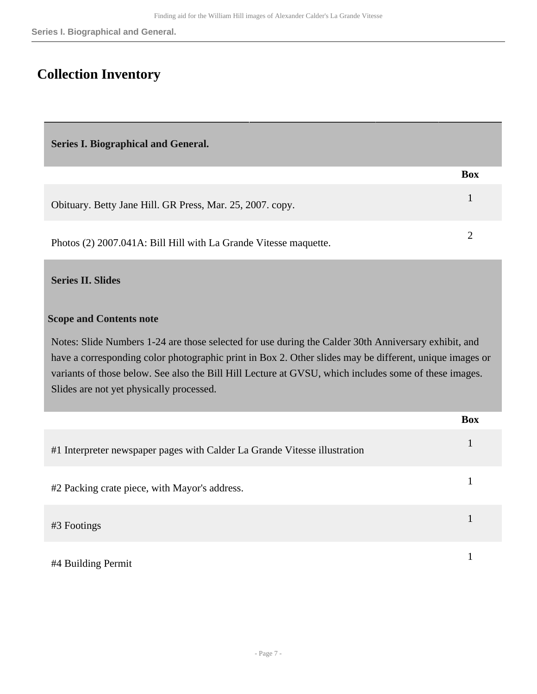## <span id="page-6-0"></span>**Collection Inventory**

<span id="page-6-1"></span>**Series I. Biographical and General.** 

|                                                                  | <b>Box</b> |  |
|------------------------------------------------------------------|------------|--|
| Obituary. Betty Jane Hill. GR Press, Mar. 25, 2007. copy.        |            |  |
| Photos (2) 2007.041A: Bill Hill with La Grande Vitesse maquette. |            |  |

#### <span id="page-6-2"></span>**Series II. Slides**

#### **Scope and Contents note**

Notes: Slide Numbers 1-24 are those selected for use during the Calder 30th Anniversary exhibit, and have a corresponding color photographic print in Box 2. Other slides may be different, unique images or variants of those below. See also the Bill Hill Lecture at GVSU, which includes some of these images. Slides are not yet physically processed.

|                                                                           | <b>Box</b> |
|---------------------------------------------------------------------------|------------|
| #1 Interpreter newspaper pages with Calder La Grande Vitesse illustration |            |
| #2 Packing crate piece, with Mayor's address.                             |            |
| #3 Footings                                                               |            |
| #4 Building Permit                                                        |            |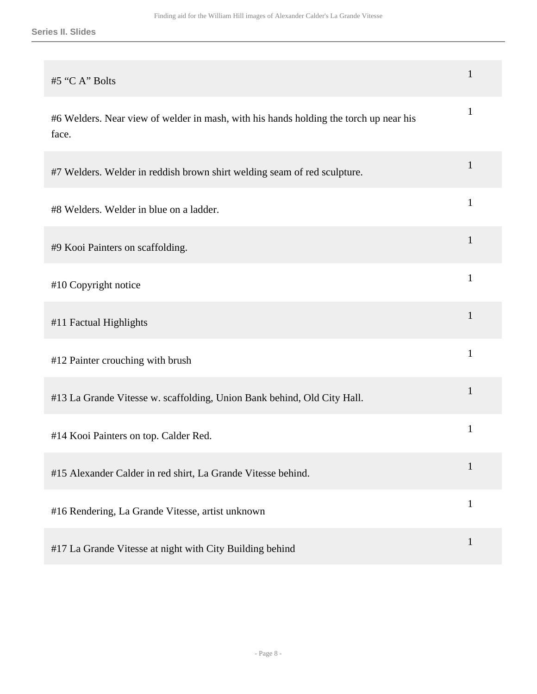| #5 "C A" Bolts                                                                                 | 1            |
|------------------------------------------------------------------------------------------------|--------------|
| #6 Welders. Near view of welder in mash, with his hands holding the torch up near his<br>face. | $\mathbf{1}$ |
| #7 Welders. Welder in reddish brown shirt welding seam of red sculpture.                       | $\mathbf{1}$ |
| #8 Welders. Welder in blue on a ladder.                                                        | 1            |
| #9 Kooi Painters on scaffolding.                                                               | $\mathbf{1}$ |
| #10 Copyright notice                                                                           | $\mathbf{1}$ |
| #11 Factual Highlights                                                                         | 1            |
| #12 Painter crouching with brush                                                               | $\mathbf{1}$ |
| #13 La Grande Vitesse w. scaffolding, Union Bank behind, Old City Hall.                        | $\mathbf{1}$ |
| #14 Kooi Painters on top. Calder Red.                                                          | 1            |
| #15 Alexander Calder in red shirt, La Grande Vitesse behind.                                   | $\mathbf{1}$ |
| #16 Rendering, La Grande Vitesse, artist unknown                                               | $\mathbf{1}$ |
| #17 La Grande Vitesse at night with City Building behind                                       | $\mathbf{1}$ |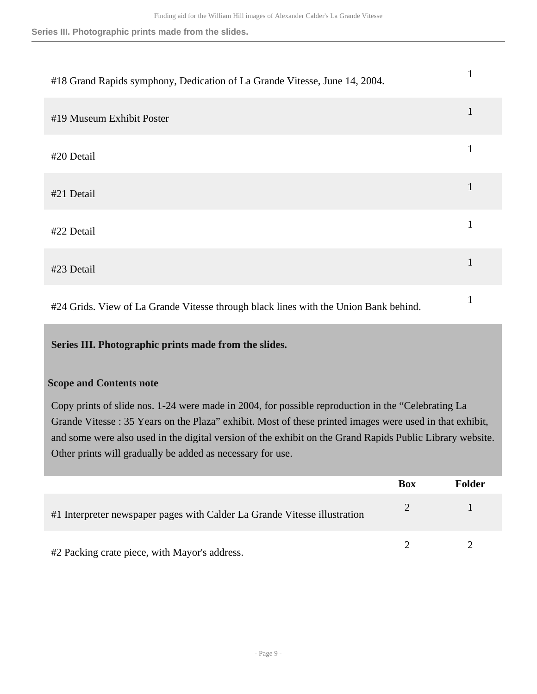**Series III. Photographic prints made from the slides.**

| #18 Grand Rapids symphony, Dedication of La Grande Vitesse, June 14, 2004.           |   |
|--------------------------------------------------------------------------------------|---|
| #19 Museum Exhibit Poster                                                            | 1 |
| #20 Detail                                                                           |   |
| #21 Detail                                                                           | 1 |
| #22 Detail                                                                           | 1 |
| #23 Detail                                                                           |   |
| #24 Grids. View of La Grande Vitesse through black lines with the Union Bank behind. |   |

<span id="page-8-0"></span>**Series III. Photographic prints made from the slides.** 

#### **Scope and Contents note**

Copy prints of slide nos. 1-24 were made in 2004, for possible reproduction in the "Celebrating La Grande Vitesse : 35 Years on the Plaza" exhibit. Most of these printed images were used in that exhibit, and some were also used in the digital version of the exhibit on the Grand Rapids Public Library website. Other prints will gradually be added as necessary for use.

|                                                                           | <b>Box</b> | Folder |
|---------------------------------------------------------------------------|------------|--------|
| #1 Interpreter newspaper pages with Calder La Grande Vitesse illustration |            |        |
| #2 Packing crate piece, with Mayor's address.                             |            |        |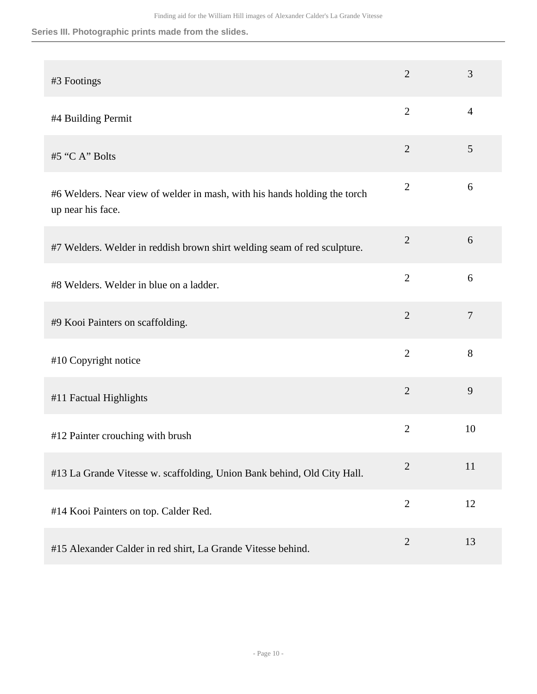**Series III. Photographic prints made from the slides.**

| #3 Footings                                                                                    | $\overline{2}$ | 3              |
|------------------------------------------------------------------------------------------------|----------------|----------------|
| #4 Building Permit                                                                             | $\overline{2}$ | $\overline{4}$ |
| #5 "C A" Bolts                                                                                 | $\mathbf{2}$   | 5              |
| #6 Welders. Near view of welder in mash, with his hands holding the torch<br>up near his face. | $\mathbf{2}$   | 6              |
| #7 Welders. Welder in reddish brown shirt welding seam of red sculpture.                       | $\overline{2}$ | 6              |
| #8 Welders. Welder in blue on a ladder.                                                        | $\overline{2}$ | 6              |
| #9 Kooi Painters on scaffolding.                                                               | $\overline{2}$ | $\tau$         |
| #10 Copyright notice                                                                           | $\overline{2}$ | 8              |
| #11 Factual Highlights                                                                         | $\mathbf{2}$   | 9              |
| #12 Painter crouching with brush                                                               | $\overline{2}$ | 10             |
| #13 La Grande Vitesse w. scaffolding, Union Bank behind, Old City Hall.                        | $\overline{2}$ | 11             |
| #14 Kooi Painters on top. Calder Red.                                                          | $\overline{2}$ | 12             |
| #15 Alexander Calder in red shirt, La Grande Vitesse behind.                                   | $\mathbf{2}$   | 13             |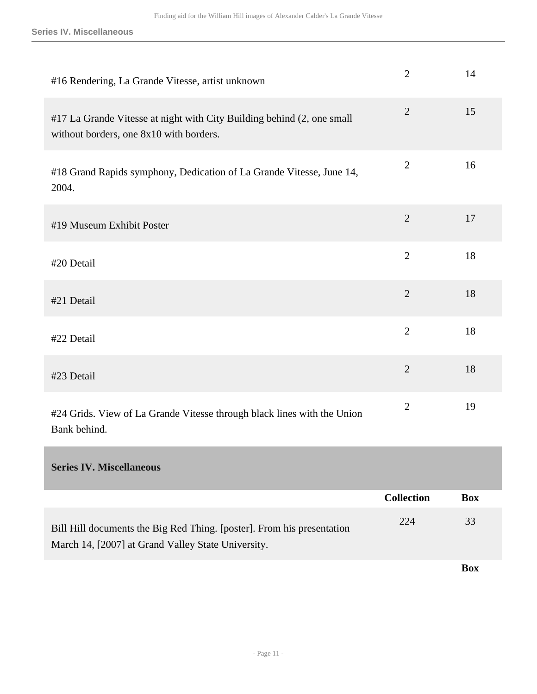**Series IV. Miscellaneous**

<span id="page-10-0"></span>

| #16 Rendering, La Grande Vitesse, artist unknown                                                                             | $\overline{2}$    | 14         |
|------------------------------------------------------------------------------------------------------------------------------|-------------------|------------|
| #17 La Grande Vitesse at night with City Building behind (2, one small<br>without borders, one 8x10 with borders.            | $\overline{2}$    | 15         |
| #18 Grand Rapids symphony, Dedication of La Grande Vitesse, June 14,<br>2004.                                                | $\mathbf{2}$      | 16         |
| #19 Museum Exhibit Poster                                                                                                    | $\overline{2}$    | 17         |
| #20 Detail                                                                                                                   | $\overline{2}$    | 18         |
| #21 Detail                                                                                                                   | $\overline{2}$    | 18         |
| #22 Detail                                                                                                                   | $\overline{2}$    | 18         |
| #23 Detail                                                                                                                   | $\overline{2}$    | 18         |
| #24 Grids. View of La Grande Vitesse through black lines with the Union<br>Bank behind.                                      | $\overline{2}$    | 19         |
| <b>Series IV. Miscellaneous</b>                                                                                              |                   |            |
|                                                                                                                              | <b>Collection</b> | <b>Box</b> |
| Bill Hill documents the Big Red Thing. [poster]. From his presentation<br>March 14, [2007] at Grand Valley State University. | 224               | 33         |

**Box**